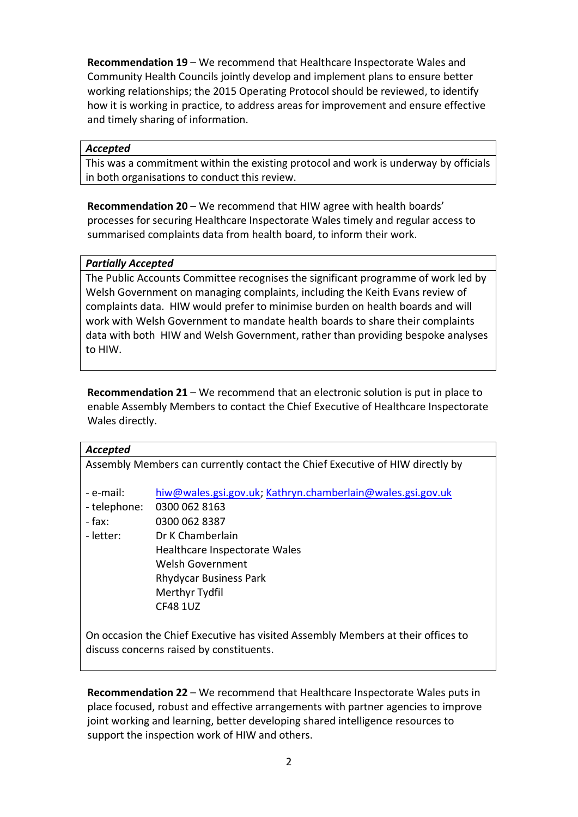**Recommendation 19** – We recommend that Healthcare Inspectorate Wales and Community Health Councils jointly develop and implement plans to ensure better working relationships; the 2015 Operating Protocol should be reviewed, to identify how it is working in practice, to address areas for improvement and ensure effective and timely sharing of information.

#### *Accepted*

This was a commitment within the existing protocol and work is underway by officials in both organisations to conduct this review.

**Recommendation 20** – We recommend that HIW agree with health boards' processes for securing Healthcare Inspectorate Wales timely and regular access to summarised complaints data from health board, to inform their work.

### *Partially Accepted*

The Public Accounts Committee recognises the significant programme of work led by Welsh Government on managing complaints, including the Keith Evans review of complaints data. HIW would prefer to minimise burden on health boards and will work with Welsh Government to mandate health boards to share their complaints data with both HIW and Welsh Government, rather than providing bespoke analyses to HIW.

**Recommendation 21** – We recommend that an electronic solution is put in place to enable Assembly Members to contact the Chief Executive of Healthcare Inspectorate Wales directly.

| Accepted                                 |                                                                                  |  |  |
|------------------------------------------|----------------------------------------------------------------------------------|--|--|
|                                          | Assembly Members can currently contact the Chief Executive of HIW directly by    |  |  |
|                                          |                                                                                  |  |  |
| - e-mail:                                | hiw@wales.gsi.gov.uk; Kathryn.chamberlain@wales.gsi.gov.uk                       |  |  |
| - telephone:                             | 0300 062 8163                                                                    |  |  |
| - fax:                                   | 0300 062 8387                                                                    |  |  |
| - letter:                                | Dr K Chamberlain                                                                 |  |  |
|                                          | Healthcare Inspectorate Wales                                                    |  |  |
|                                          | Welsh Government                                                                 |  |  |
|                                          | <b>Rhydycar Business Park</b>                                                    |  |  |
|                                          | Merthyr Tydfil                                                                   |  |  |
|                                          | <b>CF48 1UZ</b>                                                                  |  |  |
|                                          |                                                                                  |  |  |
|                                          | On occasion the Chief Executive has visited Assembly Members at their offices to |  |  |
| discuss concerns raised by constituents. |                                                                                  |  |  |

**Recommendation 22** – We recommend that Healthcare Inspectorate Wales puts in place focused, robust and effective arrangements with partner agencies to improve joint working and learning, better developing shared intelligence resources to support the inspection work of HIW and others.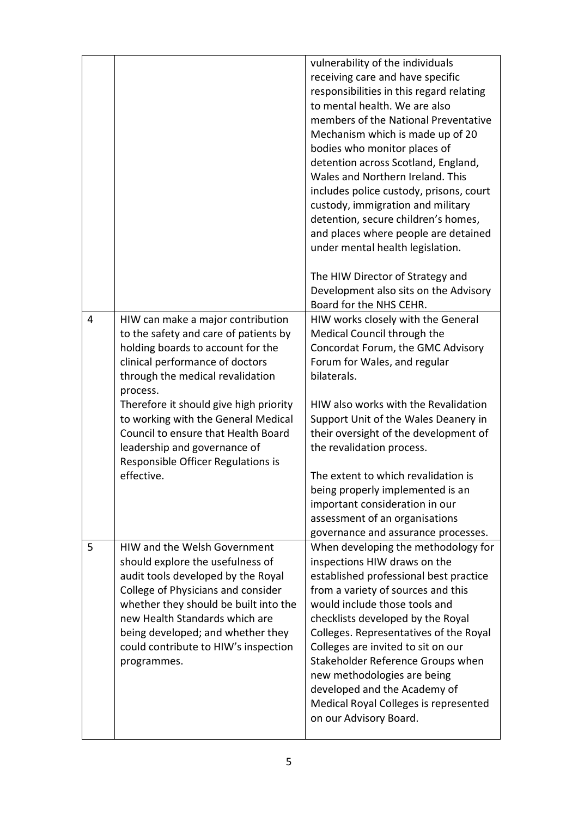|   |                                                                                                                                                                                                                                                                                                                                                                                                                | vulnerability of the individuals<br>receiving care and have specific<br>responsibilities in this regard relating<br>to mental health. We are also<br>members of the National Preventative<br>Mechanism which is made up of 20<br>bodies who monitor places of<br>detention across Scotland, England,<br>Wales and Northern Ireland. This<br>includes police custody, prisons, court<br>custody, immigration and military<br>detention, secure children's homes,<br>and places where people are detained<br>under mental health legislation.<br>The HIW Director of Strategy and<br>Development also sits on the Advisory<br>Board for the NHS CEHR. |
|---|----------------------------------------------------------------------------------------------------------------------------------------------------------------------------------------------------------------------------------------------------------------------------------------------------------------------------------------------------------------------------------------------------------------|-----------------------------------------------------------------------------------------------------------------------------------------------------------------------------------------------------------------------------------------------------------------------------------------------------------------------------------------------------------------------------------------------------------------------------------------------------------------------------------------------------------------------------------------------------------------------------------------------------------------------------------------------------|
| 4 | HIW can make a major contribution<br>to the safety and care of patients by<br>holding boards to account for the<br>clinical performance of doctors<br>through the medical revalidation<br>process.<br>Therefore it should give high priority<br>to working with the General Medical<br>Council to ensure that Health Board<br>leadership and governance of<br>Responsible Officer Regulations is<br>effective. | HIW works closely with the General<br>Medical Council through the<br>Concordat Forum, the GMC Advisory<br>Forum for Wales, and regular<br>bilaterals.<br>HIW also works with the Revalidation<br>Support Unit of the Wales Deanery in<br>their oversight of the development of<br>the revalidation process.<br>The extent to which revalidation is<br>being properly implemented is an<br>important consideration in our<br>assessment of an organisations<br>governance and assurance processes.                                                                                                                                                   |
| 5 | HIW and the Welsh Government<br>should explore the usefulness of<br>audit tools developed by the Royal<br>College of Physicians and consider<br>whether they should be built into the<br>new Health Standards which are<br>being developed; and whether they<br>could contribute to HIW's inspection<br>programmes.                                                                                            | When developing the methodology for<br>inspections HIW draws on the<br>established professional best practice<br>from a variety of sources and this<br>would include those tools and<br>checklists developed by the Royal<br>Colleges. Representatives of the Royal<br>Colleges are invited to sit on our<br>Stakeholder Reference Groups when<br>new methodologies are being<br>developed and the Academy of<br>Medical Royal Colleges is represented<br>on our Advisory Board.                                                                                                                                                                    |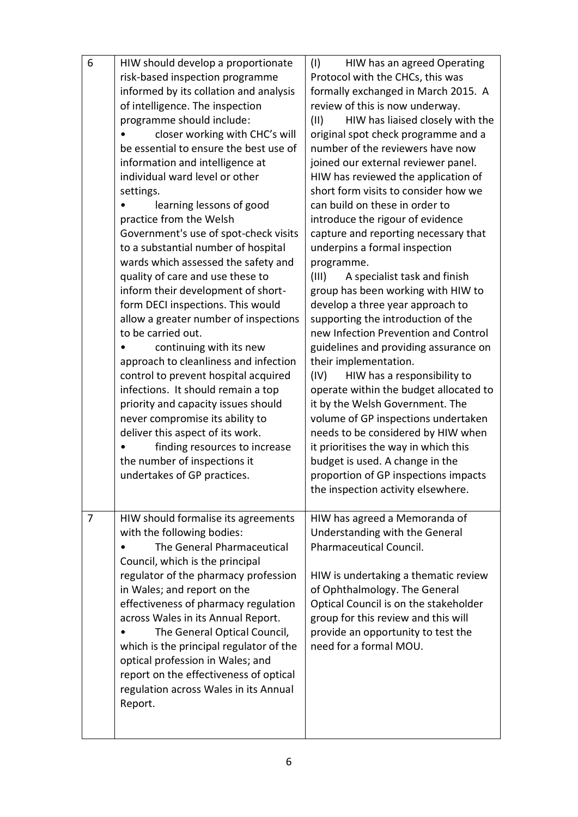| 6 | HIW should develop a proportionate      | (1)<br>HIW has an agreed Operating       |
|---|-----------------------------------------|------------------------------------------|
|   | risk-based inspection programme         | Protocol with the CHCs, this was         |
|   | informed by its collation and analysis  | formally exchanged in March 2015. A      |
|   | of intelligence. The inspection         | review of this is now underway.          |
|   | programme should include:               | HIW has liaised closely with the<br>(11) |
|   | closer working with CHC's will          | original spot check programme and a      |
|   | be essential to ensure the best use of  | number of the reviewers have now         |
|   | information and intelligence at         | joined our external reviewer panel.      |
|   | individual ward level or other          | HIW has reviewed the application of      |
|   | settings.                               | short form visits to consider how we     |
|   | learning lessons of good                | can build on these in order to           |
|   | practice from the Welsh                 | introduce the rigour of evidence         |
|   | Government's use of spot-check visits   | capture and reporting necessary that     |
|   | to a substantial number of hospital     | underpins a formal inspection            |
|   | wards which assessed the safety and     | programme.                               |
|   | quality of care and use these to        | A specialist task and finish<br>(III)    |
|   | inform their development of short-      | group has been working with HIW to       |
|   | form DECI inspections. This would       | develop a three year approach to         |
|   | allow a greater number of inspections   | supporting the introduction of the       |
|   | to be carried out.                      | new Infection Prevention and Control     |
|   | continuing with its new                 | guidelines and providing assurance on    |
|   | approach to cleanliness and infection   | their implementation.                    |
|   | control to prevent hospital acquired    | HIW has a responsibility to<br>(IV)      |
|   | infections. It should remain a top      | operate within the budget allocated to   |
|   | priority and capacity issues should     | it by the Welsh Government. The          |
|   | never compromise its ability to         | volume of GP inspections undertaken      |
|   | deliver this aspect of its work.        | needs to be considered by HIW when       |
|   | finding resources to increase           | it prioritises the way in which this     |
|   | the number of inspections it            | budget is used. A change in the          |
|   | undertakes of GP practices.             | proportion of GP inspections impacts     |
|   |                                         | the inspection activity elsewhere.       |
|   |                                         |                                          |
| 7 | HIW should formalise its agreements     | HIW has agreed a Memoranda of            |
|   | with the following bodies:              | Understanding with the General           |
|   | The General Pharmaceutical              | Pharmaceutical Council.                  |
|   | Council, which is the principal         |                                          |
|   | regulator of the pharmacy profession    | HIW is undertaking a thematic review     |
|   | in Wales; and report on the             | of Ophthalmology. The General            |
|   | effectiveness of pharmacy regulation    | Optical Council is on the stakeholder    |
|   | across Wales in its Annual Report.      | group for this review and this will      |
|   | The General Optical Council,            | provide an opportunity to test the       |
|   | which is the principal regulator of the | need for a formal MOU.                   |
|   | optical profession in Wales; and        |                                          |
|   | report on the effectiveness of optical  |                                          |
|   | regulation across Wales in its Annual   |                                          |
|   | Report.                                 |                                          |
|   |                                         |                                          |
|   |                                         |                                          |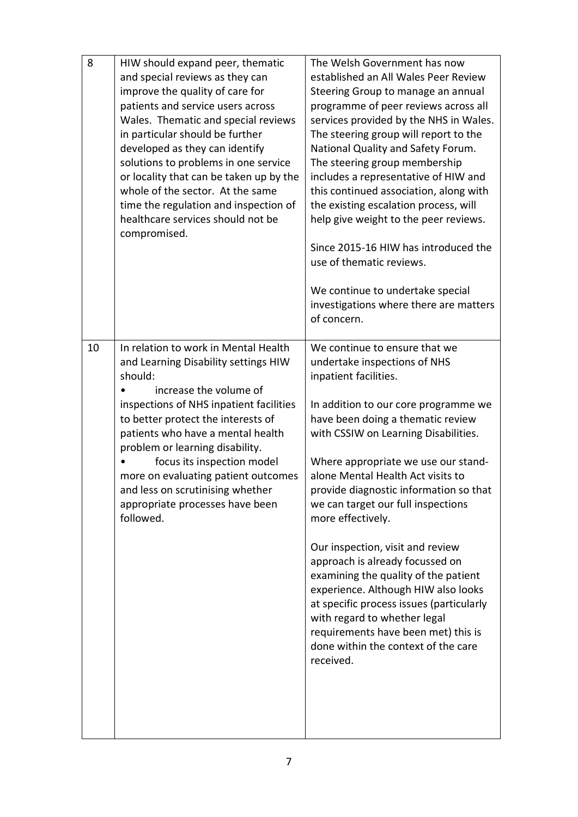| 8  | HIW should expand peer, thematic<br>and special reviews as they can<br>improve the quality of care for<br>patients and service users across<br>Wales. Thematic and special reviews<br>in particular should be further<br>developed as they can identify<br>solutions to problems in one service<br>or locality that can be taken up by the<br>whole of the sector. At the same<br>time the regulation and inspection of<br>healthcare services should not be<br>compromised. | The Welsh Government has now<br>established an All Wales Peer Review<br>Steering Group to manage an annual<br>programme of peer reviews across all<br>services provided by the NHS in Wales.<br>The steering group will report to the<br>National Quality and Safety Forum.<br>The steering group membership<br>includes a representative of HIW and<br>this continued association, along with<br>the existing escalation process, will<br>help give weight to the peer reviews.<br>Since 2015-16 HIW has introduced the<br>use of thematic reviews.<br>We continue to undertake special<br>investigations where there are matters<br>of concern.                                                                         |
|----|------------------------------------------------------------------------------------------------------------------------------------------------------------------------------------------------------------------------------------------------------------------------------------------------------------------------------------------------------------------------------------------------------------------------------------------------------------------------------|---------------------------------------------------------------------------------------------------------------------------------------------------------------------------------------------------------------------------------------------------------------------------------------------------------------------------------------------------------------------------------------------------------------------------------------------------------------------------------------------------------------------------------------------------------------------------------------------------------------------------------------------------------------------------------------------------------------------------|
| 10 | In relation to work in Mental Health<br>and Learning Disability settings HIW<br>should:<br>increase the volume of<br>inspections of NHS inpatient facilities<br>to better protect the interests of<br>patients who have a mental health<br>problem or learning disability.<br>focus its inspection model<br>more on evaluating patient outcomes<br>and less on scrutinising whether<br>appropriate processes have been<br>followed.                                          | We continue to ensure that we<br>undertake inspections of NHS<br>inpatient facilities.<br>In addition to our core programme we<br>have been doing a thematic review<br>with CSSIW on Learning Disabilities.<br>Where appropriate we use our stand-<br>alone Mental Health Act visits to<br>provide diagnostic information so that<br>we can target our full inspections<br>more effectively.<br>Our inspection, visit and review<br>approach is already focussed on<br>examining the quality of the patient<br>experience. Although HIW also looks<br>at specific process issues (particularly<br>with regard to whether legal<br>requirements have been met) this is<br>done within the context of the care<br>received. |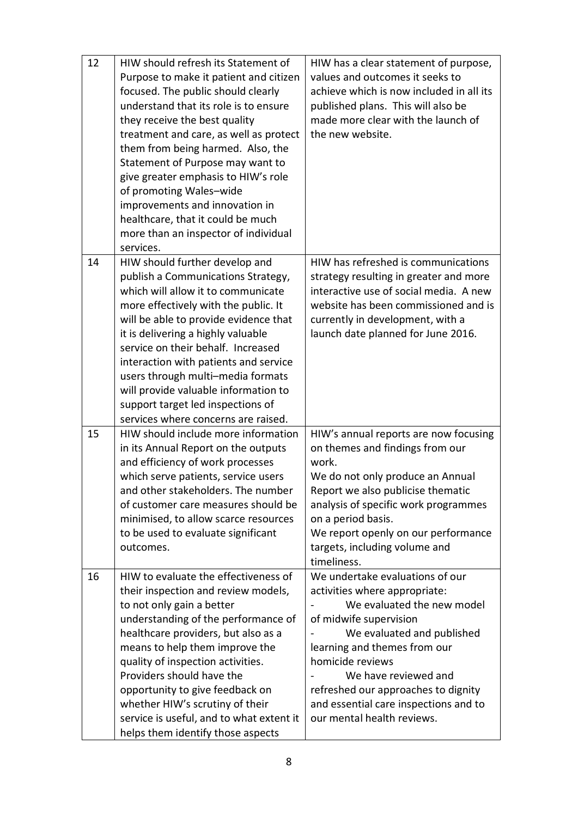| 12 | HIW should refresh its Statement of<br>Purpose to make it patient and citizen<br>focused. The public should clearly<br>understand that its role is to ensure<br>they receive the best quality<br>treatment and care, as well as protect<br>them from being harmed. Also, the<br>Statement of Purpose may want to<br>give greater emphasis to HIW's role<br>of promoting Wales-wide                                                                                        | HIW has a clear statement of purpose,<br>values and outcomes it seeks to<br>achieve which is now included in all its<br>published plans. This will also be<br>made more clear with the launch of<br>the new website.                                                                                                                             |
|----|---------------------------------------------------------------------------------------------------------------------------------------------------------------------------------------------------------------------------------------------------------------------------------------------------------------------------------------------------------------------------------------------------------------------------------------------------------------------------|--------------------------------------------------------------------------------------------------------------------------------------------------------------------------------------------------------------------------------------------------------------------------------------------------------------------------------------------------|
|    | improvements and innovation in<br>healthcare, that it could be much<br>more than an inspector of individual<br>services.                                                                                                                                                                                                                                                                                                                                                  |                                                                                                                                                                                                                                                                                                                                                  |
| 14 | HIW should further develop and<br>publish a Communications Strategy,<br>which will allow it to communicate<br>more effectively with the public. It<br>will be able to provide evidence that<br>it is delivering a highly valuable<br>service on their behalf. Increased<br>interaction with patients and service<br>users through multi-media formats<br>will provide valuable information to<br>support target led inspections of<br>services where concerns are raised. | HIW has refreshed is communications<br>strategy resulting in greater and more<br>interactive use of social media. A new<br>website has been commissioned and is<br>currently in development, with a<br>launch date planned for June 2016.                                                                                                        |
| 15 | HIW should include more information<br>in its Annual Report on the outputs<br>and efficiency of work processes<br>which serve patients, service users<br>and other stakeholders. The number<br>of customer care measures should be<br>minimised, to allow scarce resources<br>to be used to evaluate significant<br>outcomes.                                                                                                                                             | HIW's annual reports are now focusing<br>on themes and findings from our<br>work.<br>We do not only produce an Annual<br>Report we also publicise thematic<br>analysis of specific work programmes<br>on a period basis.<br>We report openly on our performance<br>targets, including volume and<br>timeliness.                                  |
| 16 | HIW to evaluate the effectiveness of<br>their inspection and review models,<br>to not only gain a better<br>understanding of the performance of<br>healthcare providers, but also as a<br>means to help them improve the<br>quality of inspection activities.<br>Providers should have the<br>opportunity to give feedback on<br>whether HIW's scrutiny of their<br>service is useful, and to what extent it<br>helps them identify those aspects                         | We undertake evaluations of our<br>activities where appropriate:<br>We evaluated the new model<br>of midwife supervision<br>We evaluated and published<br>learning and themes from our<br>homicide reviews<br>We have reviewed and<br>refreshed our approaches to dignity<br>and essential care inspections and to<br>our mental health reviews. |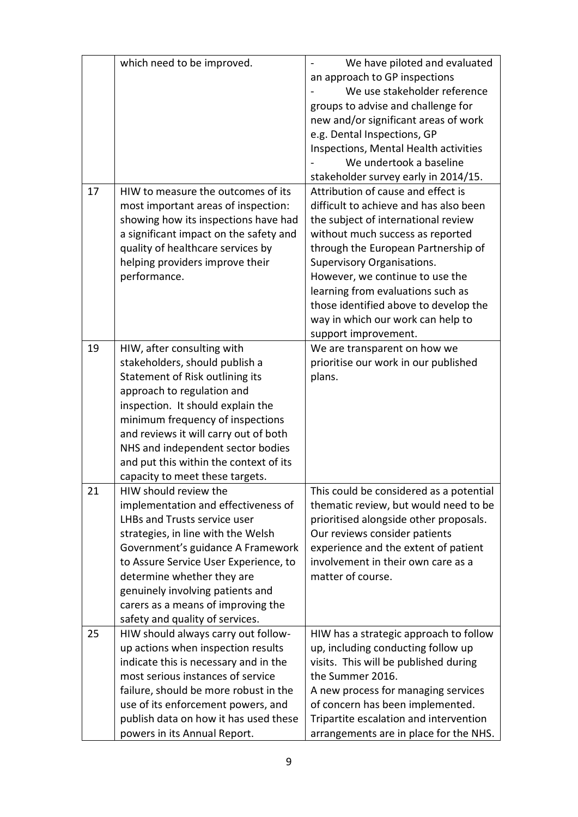|    | which need to be improved.             | We have piloted and evaluated           |
|----|----------------------------------------|-----------------------------------------|
|    |                                        | an approach to GP inspections           |
|    |                                        | We use stakeholder reference            |
|    |                                        | groups to advise and challenge for      |
|    |                                        | new and/or significant areas of work    |
|    |                                        | e.g. Dental Inspections, GP             |
|    |                                        | Inspections, Mental Health activities   |
|    |                                        | We undertook a baseline                 |
|    |                                        | stakeholder survey early in 2014/15.    |
| 17 | HIW to measure the outcomes of its     | Attribution of cause and effect is      |
|    | most important areas of inspection:    | difficult to achieve and has also been  |
|    | showing how its inspections have had   | the subject of international review     |
|    | a significant impact on the safety and | without much success as reported        |
|    | quality of healthcare services by      | through the European Partnership of     |
|    | helping providers improve their        | Supervisory Organisations.              |
|    | performance.                           | However, we continue to use the         |
|    |                                        | learning from evaluations such as       |
|    |                                        | those identified above to develop the   |
|    |                                        |                                         |
|    |                                        | way in which our work can help to       |
| 19 |                                        | support improvement.                    |
|    | HIW, after consulting with             | We are transparent on how we            |
|    | stakeholders, should publish a         | prioritise our work in our published    |
|    | Statement of Risk outlining its        | plans.                                  |
|    | approach to regulation and             |                                         |
|    | inspection. It should explain the      |                                         |
|    | minimum frequency of inspections       |                                         |
|    | and reviews it will carry out of both  |                                         |
|    | NHS and independent sector bodies      |                                         |
|    | and put this within the context of its |                                         |
|    | capacity to meet these targets.        |                                         |
| 21 | HIW should review the                  | This could be considered as a potential |
|    | implementation and effectiveness of    | thematic review, but would need to be   |
|    | LHBs and Trusts service user           | prioritised alongside other proposals.  |
|    | strategies, in line with the Welsh     | Our reviews consider patients           |
|    | Government's guidance A Framework      | experience and the extent of patient    |
|    | to Assure Service User Experience, to  | involvement in their own care as a      |
|    | determine whether they are             | matter of course.                       |
|    | genuinely involving patients and       |                                         |
|    | carers as a means of improving the     |                                         |
|    | safety and quality of services.        |                                         |
| 25 | HIW should always carry out follow-    | HIW has a strategic approach to follow  |
|    | up actions when inspection results     | up, including conducting follow up      |
|    | indicate this is necessary and in the  | visits. This will be published during   |
|    | most serious instances of service      | the Summer 2016.                        |
|    | failure, should be more robust in the  | A new process for managing services     |
|    | use of its enforcement powers, and     | of concern has been implemented.        |
|    | publish data on how it has used these  | Tripartite escalation and intervention  |
|    | powers in its Annual Report.           | arrangements are in place for the NHS.  |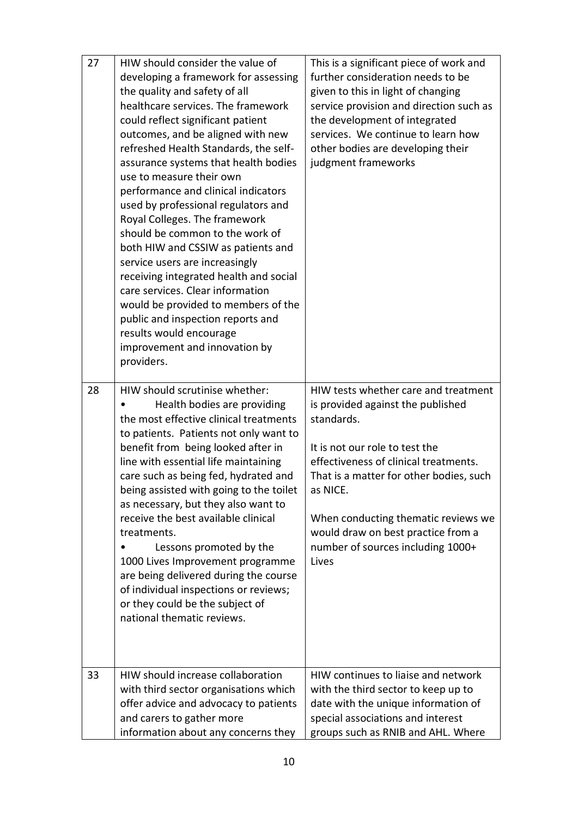| 27 | HIW should consider the value of<br>developing a framework for assessing<br>the quality and safety of all<br>healthcare services. The framework<br>could reflect significant patient<br>outcomes, and be aligned with new<br>refreshed Health Standards, the self-<br>assurance systems that health bodies<br>use to measure their own<br>performance and clinical indicators<br>used by professional regulators and<br>Royal Colleges. The framework<br>should be common to the work of<br>both HIW and CSSIW as patients and<br>service users are increasingly<br>receiving integrated health and social<br>care services. Clear information<br>would be provided to members of the<br>public and inspection reports and<br>results would encourage<br>improvement and innovation by<br>providers. | This is a significant piece of work and<br>further consideration needs to be<br>given to this in light of changing<br>service provision and direction such as<br>the development of integrated<br>services. We continue to learn how<br>other bodies are developing their<br>judgment frameworks                                                     |
|----|------------------------------------------------------------------------------------------------------------------------------------------------------------------------------------------------------------------------------------------------------------------------------------------------------------------------------------------------------------------------------------------------------------------------------------------------------------------------------------------------------------------------------------------------------------------------------------------------------------------------------------------------------------------------------------------------------------------------------------------------------------------------------------------------------|------------------------------------------------------------------------------------------------------------------------------------------------------------------------------------------------------------------------------------------------------------------------------------------------------------------------------------------------------|
| 28 | HIW should scrutinise whether:<br>Health bodies are providing<br>the most effective clinical treatments<br>to patients. Patients not only want to<br>benefit from being looked after in<br>line with essential life maintaining<br>care such as being fed, hydrated and<br>being assisted with going to the toilet<br>as necessary, but they also want to<br>receive the best available clinical<br>treatments.<br>Lessons promoted by the<br>1000 Lives Improvement programme<br>are being delivered during the course<br>of individual inspections or reviews;<br>or they could be the subject of<br>national thematic reviews.                                                                                                                                                                    | HIW tests whether care and treatment<br>is provided against the published<br>standards.<br>It is not our role to test the<br>effectiveness of clinical treatments.<br>That is a matter for other bodies, such<br>as NICE.<br>When conducting thematic reviews we<br>would draw on best practice from a<br>number of sources including 1000+<br>Lives |
| 33 | HIW should increase collaboration<br>with third sector organisations which<br>offer advice and advocacy to patients<br>and carers to gather more<br>information about any concerns they                                                                                                                                                                                                                                                                                                                                                                                                                                                                                                                                                                                                              | HIW continues to liaise and network<br>with the third sector to keep up to<br>date with the unique information of<br>special associations and interest<br>groups such as RNIB and AHL. Where                                                                                                                                                         |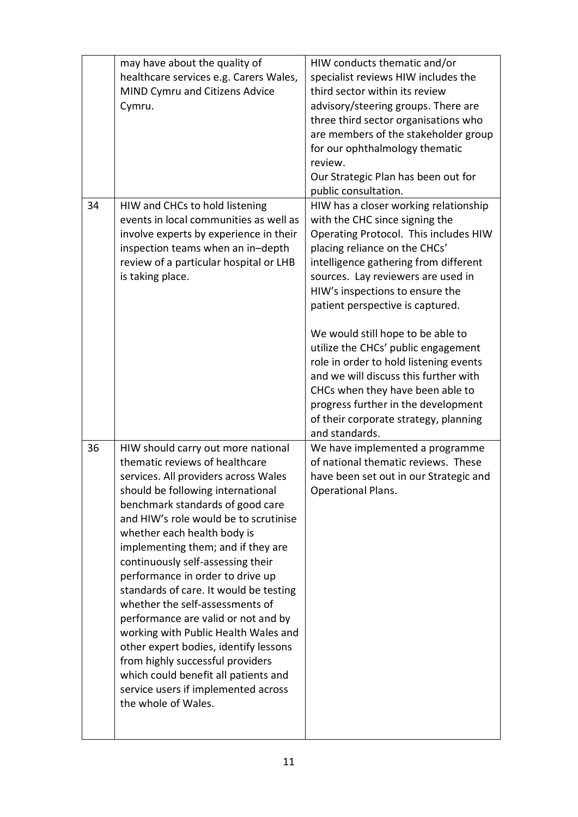|    | may have about the quality of<br>healthcare services e.g. Carers Wales,<br>MIND Cymru and Citizens Advice<br>Cymru.                                                                                                                                                                                                                                                                                                                                                                                                                                                                                                                                                                                                         | HIW conducts thematic and/or<br>specialist reviews HIW includes the<br>third sector within its review<br>advisory/steering groups. There are<br>three third sector organisations who<br>are members of the stakeholder group<br>for our ophthalmology thematic<br>review.<br>Our Strategic Plan has been out for<br>public consultation.                                                                                                                                                                                                                                                                     |
|----|-----------------------------------------------------------------------------------------------------------------------------------------------------------------------------------------------------------------------------------------------------------------------------------------------------------------------------------------------------------------------------------------------------------------------------------------------------------------------------------------------------------------------------------------------------------------------------------------------------------------------------------------------------------------------------------------------------------------------------|--------------------------------------------------------------------------------------------------------------------------------------------------------------------------------------------------------------------------------------------------------------------------------------------------------------------------------------------------------------------------------------------------------------------------------------------------------------------------------------------------------------------------------------------------------------------------------------------------------------|
| 34 | HIW and CHCs to hold listening<br>events in local communities as well as<br>involve experts by experience in their<br>inspection teams when an in-depth<br>review of a particular hospital or LHB<br>is taking place.                                                                                                                                                                                                                                                                                                                                                                                                                                                                                                       | HIW has a closer working relationship<br>with the CHC since signing the<br>Operating Protocol. This includes HIW<br>placing reliance on the CHCs'<br>intelligence gathering from different<br>sources. Lay reviewers are used in<br>HIW's inspections to ensure the<br>patient perspective is captured.<br>We would still hope to be able to<br>utilize the CHCs' public engagement<br>role in order to hold listening events<br>and we will discuss this further with<br>CHCs when they have been able to<br>progress further in the development<br>of their corporate strategy, planning<br>and standards. |
| 36 | HIW should carry out more national<br>thematic reviews of healthcare<br>services. All providers across Wales<br>should be following international<br>benchmark standards of good care<br>and HIW's role would be to scrutinise<br>whether each health body is<br>implementing them; and if they are<br>continuously self-assessing their<br>performance in order to drive up<br>standards of care. It would be testing<br>whether the self-assessments of<br>performance are valid or not and by<br>working with Public Health Wales and<br>other expert bodies, identify lessons<br>from highly successful providers<br>which could benefit all patients and<br>service users if implemented across<br>the whole of Wales. | We have implemented a programme<br>of national thematic reviews. These<br>have been set out in our Strategic and<br>Operational Plans.                                                                                                                                                                                                                                                                                                                                                                                                                                                                       |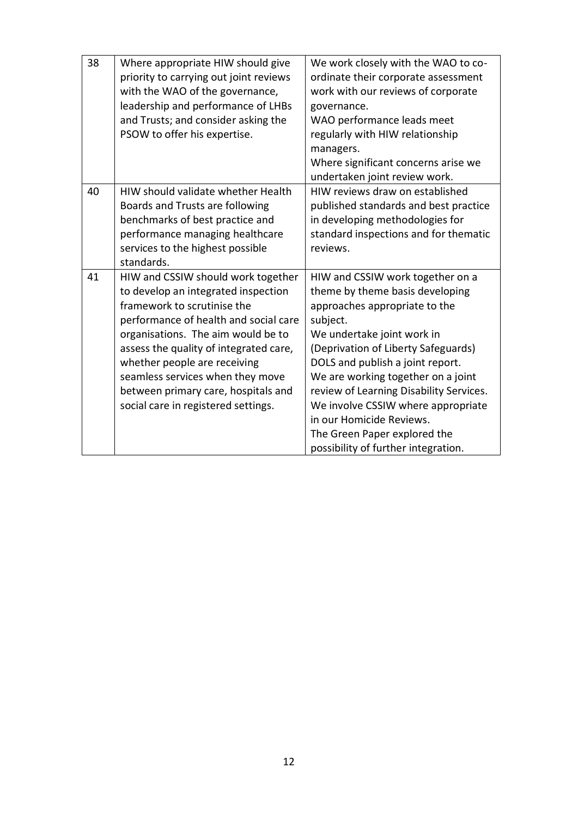| 38 | Where appropriate HIW should give<br>priority to carrying out joint reviews<br>with the WAO of the governance,<br>leadership and performance of LHBs<br>and Trusts; and consider asking the<br>PSOW to offer his expertise.                                                                                                                                                         | We work closely with the WAO to co-<br>ordinate their corporate assessment<br>work with our reviews of corporate<br>governance.<br>WAO performance leads meet<br>regularly with HIW relationship<br>managers.<br>Where significant concerns arise we<br>undertaken joint review work.                                                                                                                                                               |
|----|-------------------------------------------------------------------------------------------------------------------------------------------------------------------------------------------------------------------------------------------------------------------------------------------------------------------------------------------------------------------------------------|-----------------------------------------------------------------------------------------------------------------------------------------------------------------------------------------------------------------------------------------------------------------------------------------------------------------------------------------------------------------------------------------------------------------------------------------------------|
| 40 | HIW should validate whether Health<br>Boards and Trusts are following<br>benchmarks of best practice and<br>performance managing healthcare<br>services to the highest possible<br>standards.                                                                                                                                                                                       | HIW reviews draw on established<br>published standards and best practice<br>in developing methodologies for<br>standard inspections and for thematic<br>reviews.                                                                                                                                                                                                                                                                                    |
| 41 | HIW and CSSIW should work together<br>to develop an integrated inspection<br>framework to scrutinise the<br>performance of health and social care<br>organisations. The aim would be to<br>assess the quality of integrated care,<br>whether people are receiving<br>seamless services when they move<br>between primary care, hospitals and<br>social care in registered settings. | HIW and CSSIW work together on a<br>theme by theme basis developing<br>approaches appropriate to the<br>subject.<br>We undertake joint work in<br>(Deprivation of Liberty Safeguards)<br>DOLS and publish a joint report.<br>We are working together on a joint<br>review of Learning Disability Services.<br>We involve CSSIW where appropriate<br>in our Homicide Reviews.<br>The Green Paper explored the<br>possibility of further integration. |